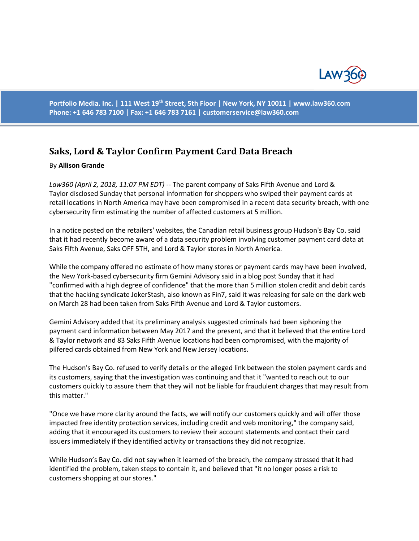

**Portfolio Media. Inc. | 111 West 19th Street, 5th Floor | New York, NY 10011 | www.law360.com Phone: +1 646 783 7100 | Fax: +1 646 783 7161 | [customerservice@law360.com](mailto:customerservice@law360.com)**

## **Saks, Lord & Taylor Confirm Payment Card Data Breach**

## By **Allison Grande**

*Law360 (April 2, 2018, 11:07 PM EDT) --* The parent company of Saks Fifth Avenue and Lord & Taylor disclosed Sunday that personal information for shoppers who swiped their payment cards at retail locations in North America may have been compromised in a recent data security breach, with one cybersecurity firm estimating the number of affected customers at 5 million.

In a notice posted on the retailers' websites, the Canadian retail business group Hudson's Bay Co. said that it had recently become aware of a data security problem involving customer payment card data at Saks Fifth Avenue, Saks OFF 5TH, and Lord & Taylor stores in North America.

While the company offered no estimate of how many stores or payment cards may have been involved, the New York-based cybersecurity firm Gemini Advisory said in a blog post Sunday that it had "confirmed with a high degree of confidence" that the more than 5 million stolen credit and debit cards that the hacking syndicate JokerStash, also known as Fin7, said it was releasing for sale on the dark web on March 28 had been taken from Saks Fifth Avenue and Lord & Taylor customers.

Gemini Advisory added that its preliminary analysis suggested criminals had been siphoning the payment card information between May 2017 and the present, and that it believed that the entire Lord & Taylor network and 83 Saks Fifth Avenue locations had been compromised, with the majority of pilfered cards obtained from New York and New Jersey locations.

The Hudson's Bay Co. refused to verify details or the alleged link between the stolen payment cards and its customers, saying that the investigation was continuing and that it "wanted to reach out to our customers quickly to assure them that they will not be liable for fraudulent charges that may result from this matter."

"Once we have more clarity around the facts, we will notify our customers quickly and will offer those impacted free identity protection services, including credit and web monitoring," the company said, adding that it encouraged its customers to review their account statements and contact their card issuers immediately if they identified activity or transactions they did not recognize.

While Hudson's Bay Co. did not say when it learned of the breach, the company stressed that it had identified the problem, taken steps to contain it, and believed that "it no longer poses a risk to customers shopping at our stores."